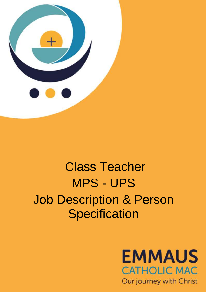

# Class Teacher MPS - UPS Job Description & Person **Specification**

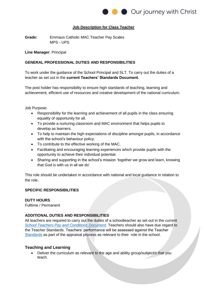

### **Job Description for Class Teacher**

**Grade:** Emmaus Catholic MAC Teacher Pay Scales MPS - UPS

**Line Manager**: Principal

### **GENERAL PROFESSIONAL DUTIES AND RESPONSIBILITIES**

To work under the guidance of the School Principal and SLT. To carry out the duties of a teacher as set out in the **current Teachers' Standards Document.**

The post holder has responsibility to ensure high standards of teaching, learning and achievement, efficient use of resources and creative development of the national curriculum.

Job Purpose:

- Responsibility for the learning and achievement of all pupils in the class ensuring equality of opportunity for all.
- To provide a nurturing classroom and MAC environment that helps pupils to develop as learners.
- To help to maintain the high expectations of discipline amongst pupils, in accordance with the school's behaviour policy.
- To contribute to the effective working of the MAC.
- Facilitating and encouraging learning experiences which provide pupils with the opportunity to achieve their individual potential.
- Sharing and supporting in the school's mission 'together we grow and learn, knowing that God is with us in all we do'

This role should be undertaken in accordance with national and local guidance in relation to the role.

### **SPECIFIC RESPONSIBILITIES**

### **DUTY HOURS**

Fulltime / Permanent

### **ADDITIONAL DUTIES AND RESPONSIBILITIES**

All teachers are required to carry out the duties of a schoolteacher as set out in the current *[School Teachers Pay and Conditions](https://www.education.gov.uk/publications/) Document.* Teachers should also have due regard to the Teacher Standards. Teachers' performance will be assessed against the Teacher [Standards](https://www.education.gov.uk/publications/standard/publicationDetail/Page1/DFE-00066-2011) as part of the appraisal process as relevant to their role in the school.

### **Teaching and Learning**

 Deliver the curriculum as relevant to the age and ability group/subject/s that you teach.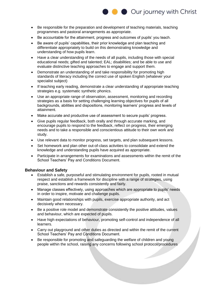

- Be responsible for the preparation and development of teaching materials, teaching programmes and pastoral arrangements as appropriate.
- Be accountable for the attainment, progress and outcomes of pupils' you teach.
- Be aware of pupils' capabilities, their prior knowledge and plan teaching and differentiate appropriately to build on this demonstrating knowledge and understanding of how pupils learn.
- Have a clear understanding of the needs of all pupils, including those with special educational needs; gifted and talented; EAL; disabilities; and be able to use and evaluate distinctive teaching approaches to engage and support them.
- Demonstrate an understanding of and take responsibility for promoting high standards of literacy including the correct use of spoken English (whatever your specialist subject)
- If teaching early reading, demonstrate a clear understanding of appropriate teaching strategies e.g. systematic synthetic phonics.
- Use an appropriate range of observation, assessment, monitoring and recording strategies as a basis for setting challenging learning objectives for pupils of all backgrounds, abilities and dispositions, monitoring learners' progress and levels of attainment.
- Make accurate and productive use of assessment to secure pupils' progress.
- Give pupils regular feedback, both orally and through accurate marking, and encourage pupils to respond to the feedback, reflect on progress, their emerging needs and to take a responsible and conscientious attitude to their own work and study.
- Use relevant data to monitor progress, set targets, and plan subsequent lessons.
- Set homework and plan other out-of-class activities to consolidate and extend the knowledge and understanding pupils have acquired as appropriate.
- Participate in arrangements for examinations and assessments within the remit of the School Teachers' Pay and Conditions Document.

#### **Behaviour and Safety**

- Establish a safe, purposeful and stimulating environment for pupils, rooted in mutual respect and establish a framework for discipline with a range of strategies, using praise, sanctions and rewards consistently and fairly.
- Manage classes effectively, using approaches which are appropriate to pupils' needs in order to inspire, motivate and challenge pupils.
- Maintain good relationships with pupils, exercise appropriate authority, and act decisively when necessary.
- Be a positive role model and demonstrate consistently the positive attitudes, values and behaviour, which are expected of pupils.
- Have high expectations of behaviour, promoting self-control and independence of all learners.
- Carry out playground and other duties as directed and within the remit of the current School Teachers' Pay and Conditions Document.
- Be responsible for promoting and safeguarding the welfare of children and young people within the school, raising any concerns following school protocol/procedures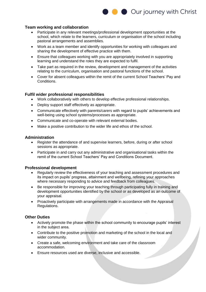## **O** Our journey with Christ

### **Team working and collaboration**

- Participate in any relevant meetings/professional development opportunities at the school, which relate to the learners, curriculum or organisation of the school including pastoral arrangements and assemblies.
- Work as a team member and identify opportunities for working with colleagues and sharing the development of effective practice with them.
- Ensure that colleagues working with you are appropriately involved in supporting learning and understand the roles they are expected to fulfil.
- Take part as required in the review, development and management of the activities relating to the curriculum, organisation and pastoral functions of the school.
- Cover for absent colleagues within the remit of the current School Teachers' Pay and Conditions.

### **Fulfil wider professional responsibilities**

- Work collaboratively with others to develop effective professional relationships.
- Deploy support staff effectively as appropriate.
- Communicate effectively with parents/carers with regard to pupils' achievements and well-being using school systems/processes as appropriate.
- Communicate and co-operate with relevant external bodies.
- Make a positive contribution to the wider life and ethos of the school.

### **Administration**

- Register the attendance of and supervise learners, before, during or after school sessions as appropriate.
- Participate in and carry out any administrative and organisational tasks within the remit of the current School Teachers' Pay and Conditions Document.

### **Professional development**

- Regularly review the effectiveness of your teaching and assessment procedures and its impact on pupils' progress, attainment and wellbeing, refining your approaches where necessary responding to advice and feedback from colleagues.
- Be responsible for improving your teaching through participating fully in training and development opportunities identified by the school or as developed as an outcome of your appraisal.
- Proactively participate with arrangements made in accordance with the Appraisal Regulations.

### **Other Duties**

- Actively promote the phase within the school community to encourage pupils' interest in the subject area.
- Contribute to the positive promotion and marketing of the school in the local and wider community.
- Create a safe, welcoming environment and take care of the classroom accommodation.
- Ensure resources used are diverse, inclusive and accessible.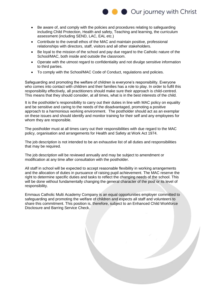

- Be aware of, and comply with the policies and procedures relating to safeguarding including Child Protection, Health and safety, Teaching and learning, the curriculum assessment (including SEND, LAC, EAL etc.)
- Contribute to the overall ethos of the MAC and maintain positive, professional relationships with directors, staff, visitors and all other stakeholders.
- Be loyal to the mission of the school and pay due regard to the Catholic nature of the School/MAC, both inside and outside the classroom.
- Operate with the utmost regard to confidentiality and not divulge sensitive information to third parties.
- To comply with the School/MAC Code of Conduct, regulations and policies.

Safeguarding and promoting the welfare of children is everyone's responsibility. Everyone who comes into contact with children and their families has a role to play. In order to fulfil this responsibility effectively, all practitioners should make sure their approach is child-centred. This means that they should consider, at all times, what is in the best interests of the child.

It is the postholder's responsibility to carry out their duties in line with MAC policy on equality and be sensitive and caring to the needs of the disadvantaged, promoting a positive approach to a harmonious working environment. The postholder should act as an exemplar on these issues and should identify and monitor training for their self and any employees for whom they are responsible.

The postholder must at all times carry out their responsibilities with due regard to the MAC policy, organisation and arrangements for Health and Safety at Work Act 1974.

The job description is not intended to be an exhaustive list of all duties and responsibilities that may be required.

The job description will be reviewed annually and may be subject to amendment or modification at any time after consultation with the postholder.

All staff in school will be expected to accept reasonable flexibility in working arrangements and the allocation of duties in pursuance of raising pupil achievement. The MAC reserve the right to determine specific duties and tasks to reflect the changing needs of the school. This will be done without fundamentally changing the general character of the post or its level of responsibility.

Emmaus Catholic Multi Academy Company is an equal opportunities employer committed to safeguarding and promoting the welfare of children and expects all staff and volunteers to share this commitment. This position is, therefore, subject to an Enhanced Child Workforce Disclosure and Barring Service Check.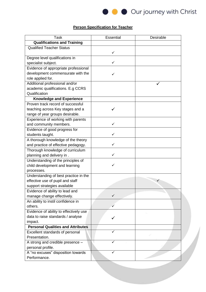### **Person Specification for Teacher**

| <b>Task</b>                              | <b>Essential</b> | <b>Desirable</b> |
|------------------------------------------|------------------|------------------|
| <b>Qualifications and Training</b>       |                  |                  |
| <b>Qualified Teacher Status</b>          |                  |                  |
|                                          | ✓                |                  |
| Degree level qualifications in           |                  |                  |
| specialist subject.                      | ✓                |                  |
| Evidence of appropriate professional     |                  |                  |
| development commensurate with the        |                  |                  |
| role applied for.                        |                  |                  |
| Additional professional and/or           |                  |                  |
| academic qualifications. E.g CCRS        |                  |                  |
| Qualification                            |                  |                  |
| <b>Knowledge and Experience</b>          |                  |                  |
| Proven track record of successful        |                  |                  |
| teaching across Key stages and a         |                  |                  |
| range of year groups desirable.          |                  |                  |
| Experience of working with parents       |                  |                  |
| and community members.                   | ✓                |                  |
| Evidence of good progress for            |                  |                  |
| students taught.                         | ✓                |                  |
| A thorough knowledge of the theory       |                  |                  |
| and practice of effective pedagogy.      | ✓                |                  |
| Thorough knowledge of curriculum         |                  |                  |
| planning and delivery in.                | ✓                |                  |
| Understanding of the principles of       |                  |                  |
| child development and learning           |                  |                  |
| processes.                               |                  |                  |
| Understanding of best practice in the    |                  |                  |
| effective use of pupil and staff         |                  |                  |
| support strategies available             |                  |                  |
| Evidence of ability to lead and          |                  |                  |
| manage change effectively.               | ✓                |                  |
| An ability to instil confidence in       |                  |                  |
| others.                                  |                  |                  |
| Evidence of ability to effectively use   |                  |                  |
| data to raise standards / analyse        |                  |                  |
| impact.                                  |                  |                  |
| <b>Personal Qualities and Attributes</b> |                  |                  |
| Excellent standards of personal          | ✓                |                  |
| Presentation.                            |                  |                  |
| A strong and credible presence -         |                  |                  |
| personal profile.                        |                  |                  |
| A "no excuses" disposition towards       |                  |                  |
| Performance.                             |                  |                  |